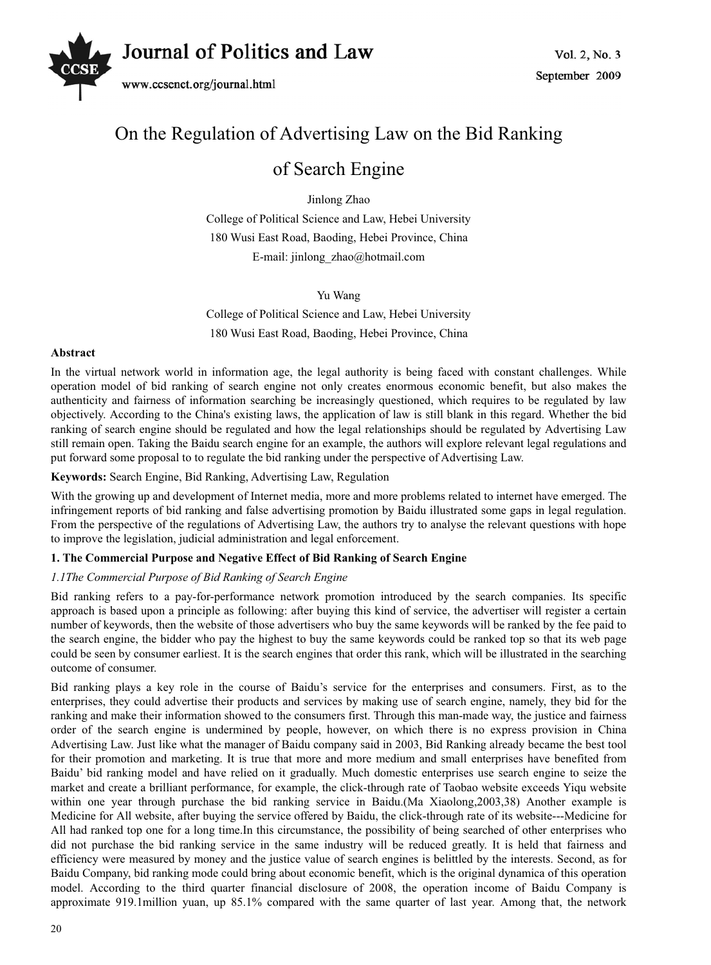

# On the Regulation of Advertising Law on the Bid Ranking

# of Search Engine

Jinlong Zhao

College of Political Science and Law, Hebei University 180 Wusi East Road, Baoding, Hebei Province, China E-mail: jinlong\_zhao@hotmail.com

## Yu Wang

College of Political Science and Law, Hebei University 180 Wusi East Road, Baoding, Hebei Province, China

## **Abstract**

In the virtual network world in information age, the legal authority is being faced with constant challenges. While operation model of bid ranking of search engine not only creates enormous economic benefit, but also makes the authenticity and fairness of information searching be increasingly questioned, which requires to be regulated by law objectively. According to the China's existing laws, the application of law is still blank in this regard. Whether the bid ranking of search engine should be regulated and how the legal relationships should be regulated by Advertising Law still remain open. Taking the Baidu search engine for an example, the authors will explore relevant legal regulations and put forward some proposal to to regulate the bid ranking under the perspective of Advertising Law.

# **Keywords:** Search Engine, Bid Ranking, Advertising Law, Regulation

With the growing up and development of Internet media, more and more problems related to internet have emerged. The infringement reports of bid ranking and false advertising promotion by Baidu illustrated some gaps in legal regulation. From the perspective of the regulations of Advertising Law, the authors try to analyse the relevant questions with hope to improve the legislation, judicial administration and legal enforcement.

## **1. The Commercial Purpose and Negative Effect of Bid Ranking of Search Engine**

## *1.1The Commercial Purpose of Bid Ranking of Search Engine*

Bid ranking refers to a pay-for-performance network promotion introduced by the search companies. Its specific approach is based upon a principle as following: after buying this kind of service, the advertiser will register a certain number of keywords, then the website of those advertisers who buy the same keywords will be ranked by the fee paid to the search engine, the bidder who pay the highest to buy the same keywords could be ranked top so that its web page could be seen by consumer earliest. It is the search engines that order this rank, which will be illustrated in the searching outcome of consumer.

Bid ranking plays a key role in the course of Baidu's service for the enterprises and consumers. First, as to the enterprises, they could advertise their products and services by making use of search engine, namely, they bid for the ranking and make their information showed to the consumers first. Through this man-made way, the justice and fairness order of the search engine is undermined by people, however, on which there is no express provision in China Advertising Law. Just like what the manager of Baidu company said in 2003, Bid Ranking already became the best tool for their promotion and marketing. It is true that more and more medium and small enterprises have benefited from Baidu' bid ranking model and have relied on it gradually. Much domestic enterprises use search engine to seize the market and create a brilliant performance, for example, the click-through rate of Taobao website exceeds Yiqu website within one year through purchase the bid ranking service in Baidu.(Ma Xiaolong,2003,38) Another example is Medicine for All website, after buying the service offered by Baidu, the click-through rate of its website---Medicine for All had ranked top one for a long time.In this circumstance, the possibility of being searched of other enterprises who did not purchase the bid ranking service in the same industry will be reduced greatly. It is held that fairness and efficiency were measured by money and the justice value of search engines is belittled by the interests. Second, as for Baidu Company, bid ranking mode could bring about economic benefit, which is the original dynamica of this operation model. According to the third quarter financial disclosure of 2008, the operation income of Baidu Company is approximate 919.1million yuan, up 85.1% compared with the same quarter of last year. Among that, the network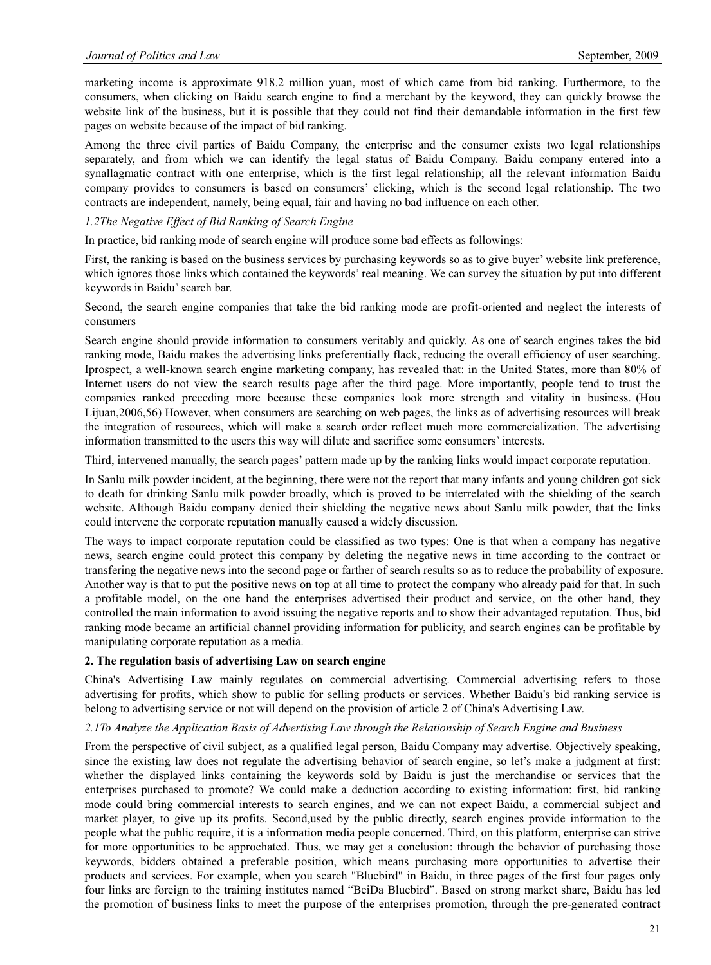marketing income is approximate 918.2 million yuan, most of which came from bid ranking. Furthermore, to the consumers, when clicking on Baidu search engine to find a merchant by the keyword, they can quickly browse the website link of the business, but it is possible that they could not find their demandable information in the first few pages on website because of the impact of bid ranking.

Among the three civil parties of Baidu Company, the enterprise and the consumer exists two legal relationships separately, and from which we can identify the legal status of Baidu Company. Baidu company entered into a synallagmatic contract with one enterprise, which is the first legal relationship; all the relevant information Baidu company provides to consumers is based on consumers' clicking, which is the second legal relationship. The two contracts are independent, namely, being equal, fair and having no bad influence on each other.

### *1.2The Negative Effect of Bid Ranking of Search Engine*

In practice, bid ranking mode of search engine will produce some bad effects as followings:

First, the ranking is based on the business services by purchasing keywords so as to give buyer' website link preference, which ignores those links which contained the keywords' real meaning. We can survey the situation by put into different keywords in Baidu' search bar.

Second, the search engine companies that take the bid ranking mode are profit-oriented and neglect the interests of consumers

Search engine should provide information to consumers veritably and quickly. As one of search engines takes the bid ranking mode, Baidu makes the advertising links preferentially flack, reducing the overall efficiency of user searching. Iprospect, a well-known search engine marketing company, has revealed that: in the United States, more than 80% of Internet users do not view the search results page after the third page. More importantly, people tend to trust the companies ranked preceding more because these companies look more strength and vitality in business. (Hou Lijuan,2006,56) However, when consumers are searching on web pages, the links as of advertising resources will break the integration of resources, which will make a search order reflect much more commercialization. The advertising information transmitted to the users this way will dilute and sacrifice some consumers' interests.

Third, intervened manually, the search pages' pattern made up by the ranking links would impact corporate reputation.

In Sanlu milk powder incident, at the beginning, there were not the report that many infants and young children got sick to death for drinking Sanlu milk powder broadly, which is proved to be interrelated with the shielding of the search website. Although Baidu company denied their shielding the negative news about Sanlu milk powder, that the links could intervene the corporate reputation manually caused a widely discussion.

The ways to impact corporate reputation could be classified as two types: One is that when a company has negative news, search engine could protect this company by deleting the negative news in time according to the contract or transfering the negative news into the second page or farther of search results so as to reduce the probability of exposure. Another way is that to put the positive news on top at all time to protect the company who already paid for that. In such a profitable model, on the one hand the enterprises advertised their product and service, on the other hand, they controlled the main information to avoid issuing the negative reports and to show their advantaged reputation. Thus, bid ranking mode became an artificial channel providing information for publicity, and search engines can be profitable by manipulating corporate reputation as a media.

## **2. The regulation basis of advertising Law on search engine**

China's Advertising Law mainly regulates on commercial advertising. Commercial advertising refers to those advertising for profits, which show to public for selling products or services. Whether Baidu's bid ranking service is belong to advertising service or not will depend on the provision of article 2 of China's Advertising Law.

#### *2.1To Analyze the Application Basis of Advertising Law through the Relationship of Search Engine and Business*

From the perspective of civil subject, as a qualified legal person, Baidu Company may advertise. Objectively speaking, since the existing law does not regulate the advertising behavior of search engine, so let's make a judgment at first: whether the displayed links containing the keywords sold by Baidu is just the merchandise or services that the enterprises purchased to promote? We could make a deduction according to existing information: first, bid ranking mode could bring commercial interests to search engines, and we can not expect Baidu, a commercial subject and market player, to give up its profits. Second,used by the public directly, search engines provide information to the people what the public require, it is a information media people concerned. Third, on this platform, enterprise can strive for more opportunities to be approchated. Thus, we may get a conclusion: through the behavior of purchasing those keywords, bidders obtained a preferable position, which means purchasing more opportunities to advertise their products and services. For example, when you search "Bluebird" in Baidu, in three pages of the first four pages only four links are foreign to the training institutes named "BeiDa Bluebird". Based on strong market share, Baidu has led the promotion of business links to meet the purpose of the enterprises promotion, through the pre-generated contract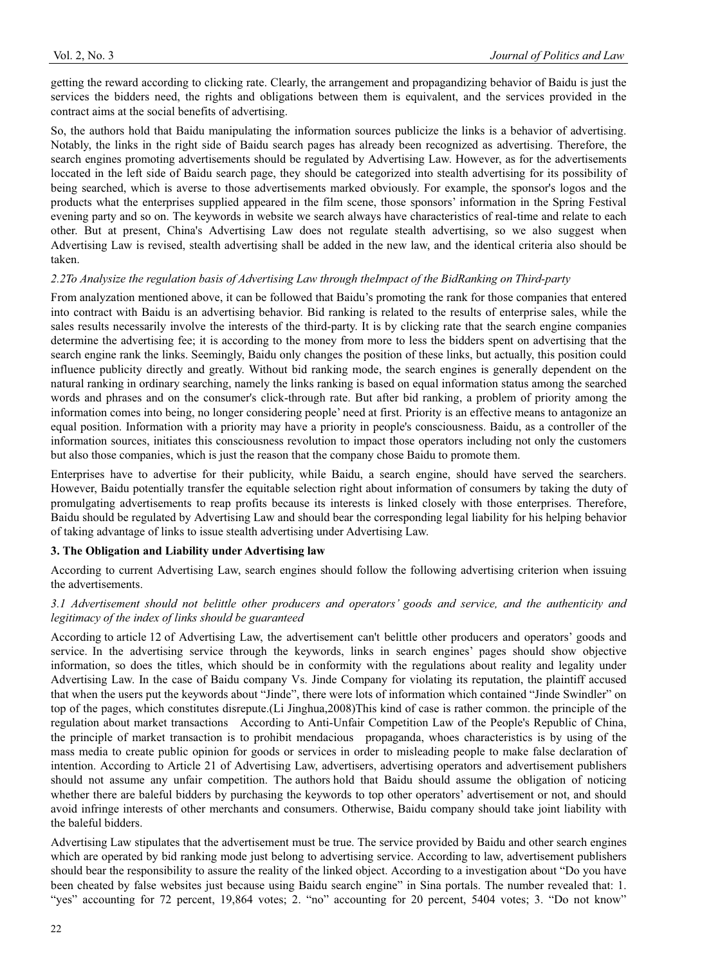getting the reward according to clicking rate. Clearly, the arrangement and propagandizing behavior of Baidu is just the services the bidders need, the rights and obligations between them is equivalent, and the services provided in the contract aims at the social benefits of advertising.

So, the authors hold that Baidu manipulating the information sources publicize the links is a behavior of advertising. Notably, the links in the right side of Baidu search pages has already been recognized as advertising. Therefore, the search engines promoting advertisements should be regulated by Advertising Law. However, as for the advertisements loccated in the left side of Baidu search page, they should be categorized into stealth advertising for its possibility of being searched, which is averse to those advertisements marked obviously. For example, the sponsor's logos and the products what the enterprises supplied appeared in the film scene, those sponsors' information in the Spring Festival evening party and so on. The keywords in website we search always have characteristics of real-time and relate to each other. But at present, China's Advertising Law does not regulate stealth advertising, so we also suggest when Advertising Law is revised, stealth advertising shall be added in the new law, and the identical criteria also should be taken.

## *2.2To Analysize the regulation basis of Advertising Law through theImpact of the BidRanking on Third-party*

From analyzation mentioned above, it can be followed that Baidu's promoting the rank for those companies that entered into contract with Baidu is an advertising behavior. Bid ranking is related to the results of enterprise sales, while the sales results necessarily involve the interests of the third-party. It is by clicking rate that the search engine companies determine the advertising fee; it is according to the money from more to less the bidders spent on advertising that the search engine rank the links. Seemingly, Baidu only changes the position of these links, but actually, this position could influence publicity directly and greatly. Without bid ranking mode, the search engines is generally dependent on the natural ranking in ordinary searching, namely the links ranking is based on equal information status among the searched words and phrases and on the consumer's click-through rate. But after bid ranking, a problem of priority among the information comes into being, no longer considering people' need at first. Priority is an effective means to antagonize an equal position. Information with a priority may have a priority in people's consciousness. Baidu, as a controller of the information sources, initiates this consciousness revolution to impact those operators including not only the customers but also those companies, which is just the reason that the company chose Baidu to promote them.

Enterprises have to advertise for their publicity, while Baidu, a search engine, should have served the searchers. However, Baidu potentially transfer the equitable selection right about information of consumers by taking the duty of promulgating advertisements to reap profits because its interests is linked closely with those enterprises. Therefore, Baidu should be regulated by Advertising Law and should bear the corresponding legal liability for his helping behavior of taking advantage of links to issue stealth advertising under Advertising Law.

## **3. The Obligation and Liability under Advertising law**

According to current Advertising Law, search engines should follow the following advertising criterion when issuing the advertisements.

## *3.1 Advertisement should not belittle other producers and operators' goods and service, and the authenticity and legitimacy of the index of links should be guaranteed*

According to article 12 of Advertising Law, the advertisement can't belittle other producers and operators' goods and service. In the advertising service through the keywords, links in search engines' pages should show objective information, so does the titles, which should be in conformity with the regulations about reality and legality under Advertising Law. In the case of Baidu company Vs. Jinde Company for violating its reputation, the plaintiff accused that when the users put the keywords about "Jinde", there were lots of information which contained "Jinde Swindler" on top of the pages, which constitutes disrepute.(Li Jinghua,2008)This kind of case is rather common. the principle of the regulation about market transactions According to Anti-Unfair Competition Law of the People's Republic of China, the principle of market transaction is to prohibit mendacious propaganda, whoes characteristics is by using of the mass media to create public opinion for goods or services in order to misleading people to make false declaration of intention. According to Article 21 of Advertising Law, advertisers, advertising operators and advertisement publishers should not assume any unfair competition. The authors hold that Baidu should assume the obligation of noticing whether there are baleful bidders by purchasing the keywords to top other operators' advertisement or not, and should avoid infringe interests of other merchants and consumers. Otherwise, Baidu company should take joint liability with the baleful bidders.

Advertising Law stipulates that the advertisement must be true. The service provided by Baidu and other search engines which are operated by bid ranking mode just belong to advertising service. According to law, advertisement publishers should bear the responsibility to assure the reality of the linked object. According to a investigation about "Do you have been cheated by false websites just because using Baidu search engine" in Sina portals. The number revealed that: 1. "yes" accounting for 72 percent, 19,864 votes; 2. "no" accounting for 20 percent, 5404 votes; 3. "Do not know"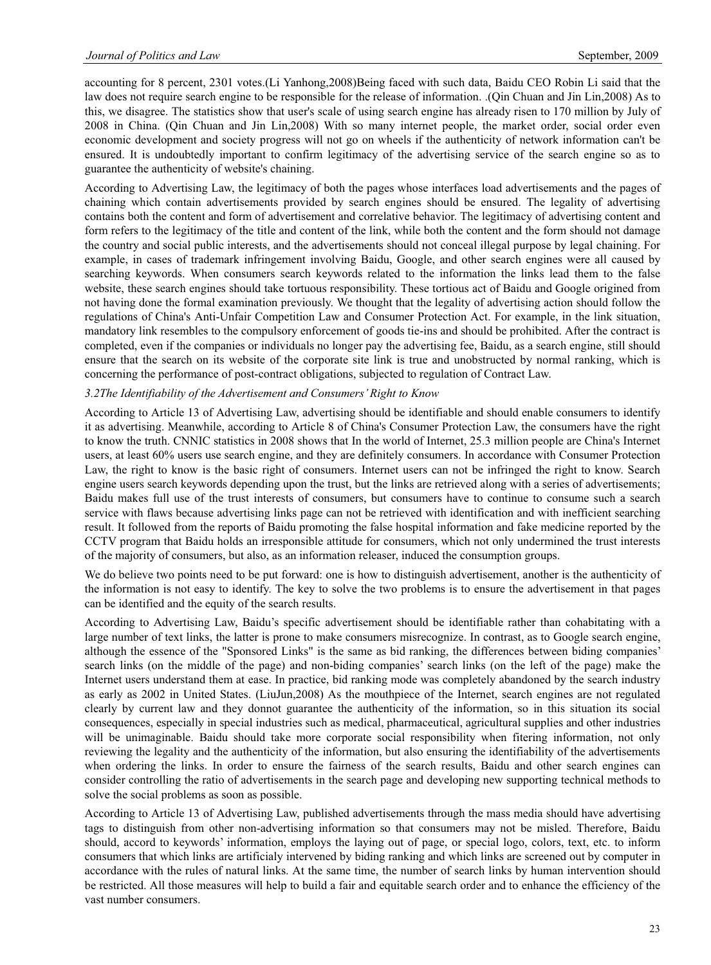accounting for 8 percent, 2301 votes.(Li Yanhong,2008)Being faced with such data, Baidu CEO Robin Li said that the law does not require search engine to be responsible for the release of information. .(Qin Chuan and Jin Lin,2008) As to this, we disagree. The statistics show that user's scale of using search engine has already risen to 170 million by July of 2008 in China. (Qin Chuan and Jin Lin,2008) With so many internet people, the market order, social order even economic development and society progress will not go on wheels if the authenticity of network information can't be ensured. It is undoubtedly important to confirm legitimacy of the advertising service of the search engine so as to guarantee the authenticity of website's chaining.

According to Advertising Law, the legitimacy of both the pages whose interfaces load advertisements and the pages of chaining which contain advertisements provided by search engines should be ensured. The legality of advertising contains both the content and form of advertisement and correlative behavior. The legitimacy of advertising content and form refers to the legitimacy of the title and content of the link, while both the content and the form should not damage the country and social public interests, and the advertisements should not conceal illegal purpose by legal chaining. For example, in cases of trademark infringement involving Baidu, Google, and other search engines were all caused by searching keywords. When consumers search keywords related to the information the links lead them to the false website, these search engines should take tortuous responsibility. These tortious act of Baidu and Google origined from not having done the formal examination previously. We thought that the legality of advertising action should follow the regulations of China's Anti-Unfair Competition Law and Consumer Protection Act. For example, in the link situation, mandatory link resembles to the compulsory enforcement of goods tie-ins and should be prohibited. After the contract is completed, even if the companies or individuals no longer pay the advertising fee, Baidu, as a search engine, still should ensure that the search on its website of the corporate site link is true and unobstructed by normal ranking, which is concerning the performance of post-contract obligations, subjected to regulation of Contract Law.

#### *3.2The Identifiability of the Advertisement and Consumers' Right to Know*

According to Article 13 of Advertising Law, advertising should be identifiable and should enable consumers to identify it as advertising. Meanwhile, according to Article 8 of China's Consumer Protection Law, the consumers have the right to know the truth. CNNIC statistics in 2008 shows that In the world of Internet, 25.3 million people are China's Internet users, at least 60% users use search engine, and they are definitely consumers. In accordance with Consumer Protection Law, the right to know is the basic right of consumers. Internet users can not be infringed the right to know. Search engine users search keywords depending upon the trust, but the links are retrieved along with a series of advertisements; Baidu makes full use of the trust interests of consumers, but consumers have to continue to consume such a search service with flaws because advertising links page can not be retrieved with identification and with inefficient searching result. It followed from the reports of Baidu promoting the false hospital information and fake medicine reported by the CCTV program that Baidu holds an irresponsible attitude for consumers, which not only undermined the trust interests of the majority of consumers, but also, as an information releaser, induced the consumption groups.

We do believe two points need to be put forward: one is how to distinguish advertisement, another is the authenticity of the information is not easy to identify. The key to solve the two problems is to ensure the advertisement in that pages can be identified and the equity of the search results.

According to Advertising Law, Baidu's specific advertisement should be identifiable rather than cohabitating with a large number of text links, the latter is prone to make consumers misrecognize. In contrast, as to Google search engine, although the essence of the "Sponsored Links" is the same as bid ranking, the differences between biding companies' search links (on the middle of the page) and non-biding companies' search links (on the left of the page) make the Internet users understand them at ease. In practice, bid ranking mode was completely abandoned by the search industry as early as 2002 in United States. (LiuJun,2008) As the mouthpiece of the Internet, search engines are not regulated clearly by current law and they donnot guarantee the authenticity of the information, so in this situation its social consequences, especially in special industries such as medical, pharmaceutical, agricultural supplies and other industries will be unimaginable. Baidu should take more corporate social responsibility when fitering information, not only reviewing the legality and the authenticity of the information, but also ensuring the identifiability of the advertisements when ordering the links. In order to ensure the fairness of the search results, Baidu and other search engines can consider controlling the ratio of advertisements in the search page and developing new supporting technical methods to solve the social problems as soon as possible.

According to Article 13 of Advertising Law, published advertisements through the mass media should have advertising tags to distinguish from other non-advertising information so that consumers may not be misled. Therefore, Baidu should, accord to keywords' information, employs the laying out of page, or special logo, colors, text, etc. to inform consumers that which links are artificialy intervened by biding ranking and which links are screened out by computer in accordance with the rules of natural links. At the same time, the number of search links by human intervention should be restricted. All those measures will help to build a fair and equitable search order and to enhance the efficiency of the vast number consumers.